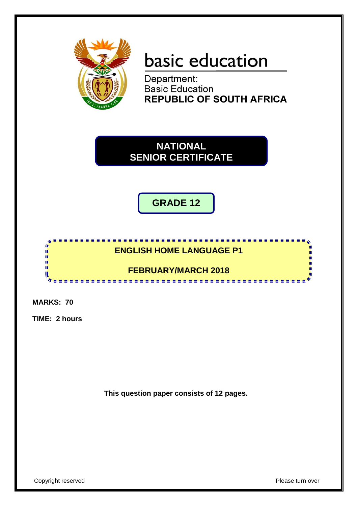

# basic education

Department: **Basic Education REPUBLIC OF SOUTH AFRICA** 



**GRADE 12**

## **ENGLISH HOME LANGUAGE P1**

**FEBRUARY/MARCH 2018** <u>.............................</u>

**MARKS: 70**

f. I. ú, ú, H U

**TIME: 2 hours**

**This question paper consists of 12 pages.**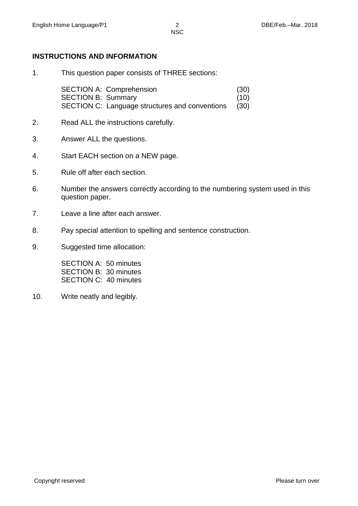#### **INSTRUCTIONS AND INFORMATION**

1. This question paper consists of THREE sections:

SECTION A: Comprehension (30) SECTION B: Summary (10) SECTION C: Language structures and conventions (30)

- 2. Read ALL the instructions carefully.
- 3. Answer ALL the questions.
- 4. Start EACH section on a NEW page.
- 5. Rule off after each section.
- 6. Number the answers correctly according to the numbering system used in this question paper.
- 7. Leave a line after each answer.
- 8. Pay special attention to spelling and sentence construction.
- 9. Suggested time allocation:

SECTION A: 50 minutes SECTION B: 30 minutes SECTION C: 40 minutes

10. Write neatly and legibly.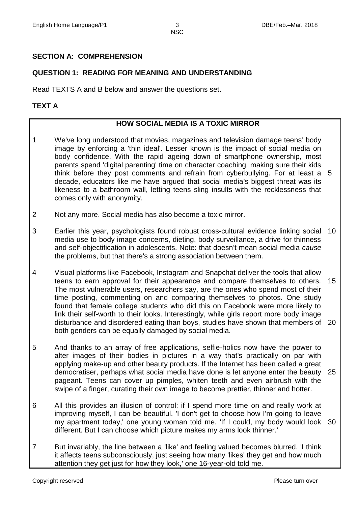#### **SECTION A: COMPREHENSION**

#### **QUESTION 1: READING FOR MEANING AND UNDERSTANDING**

Read TEXTS A and B below and answer the questions set.

#### **TEXT A**

#### **HOW SOCIAL MEDIA IS A TOXIC MIRROR**

- 1 We've long understood that movies, magazines and television damage teens' body image by enforcing a 'thin ideal'. Lesser known is the impact of social media on body confidence. With the rapid ageing down of smartphone ownership, most parents spend 'digital parenting' time on character coaching, making sure their kids think before they post comments and refrain from cyberbullying. For at least a 5 decade, educators like me have argued that social media's biggest threat was its likeness to a bathroom wall, letting teens sling insults with the recklessness that comes only with anonymity.
- 2 Not any more. Social media has also become a toxic mirror.
- 3 Earlier this year, psychologists [found](https://www.researchgate.net/publication/298794212_A_systematic_review_of_the_impact_of_the_use_of_social_networking_sites_on_body_image_and_disordered_eating_outcomes) robust cross-cultural evidence linking social media use to body image concerns, dieting, body surveillance, a drive for thinness and self-objectification in adolescents. Note: that doesn't mean social media *cause* the problems, but that there's a strong association between them. 10
- 4 Visual platforms like Facebook, Instagram and Snapchat deliver the tools that allow teens to earn approval for their appearance and compare themselves to others. The most vulnerable users, researchers say, are the ones who spend most of their time posting, commenting on and comparing themselves to photos. One [study](http://www.buffalo.edu/content/dam/cas/communication/files/Stefanone/Stefanone_cyberpsych.2011.pdf) found that female college students who did this on Facebook were more likely to link their self-worth to their looks. Interestingly, while girls report more body image disturbance and disordered eating than boys, [studies](http://link.springer.com/article/10.1007/s10964-015-0266-4) have shown that members of 20 both genders can be equally damaged by social media. 15
- 5 And thanks to an array of free applications, selfie-holics now have the power to alter images of their bodies in pictures in a way that's practically on par with applying make-up and other beauty products. If the Internet has been called a great democratiser, perhaps what social media have done is let anyone enter the beauty 25 pageant. Teens can cover up pimples, whiten teeth and even airbrush with the swipe of a finger, curating their own image to become prettier, thinner and hotter.
- 6 All this provides an illusion of control: if I spend more time on and really work at improving myself, I can be beautiful. 'I don't get to choose how I'm going to leave my apartment today,' one young woman told me. 'If I could, my body would look 30different. But I can choose which picture makes my arms look thinner.'
- 7 But invariably, the line between a 'like' and feeling valued becomes blurred. 'I think it affects teens subconsciously, just seeing how many 'likes' they get and how much attention they get just for how they look,' one 16-year-old told me.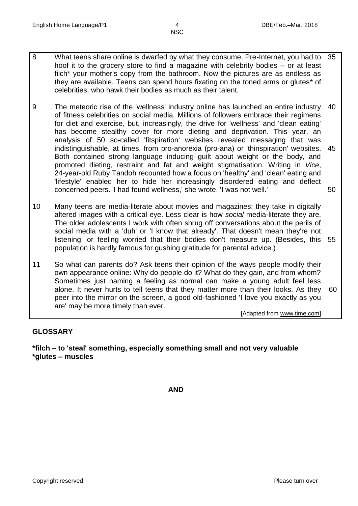- 8 What teens share online is dwarfed by what they consume. Pre-Internet, you had to hoof it to the grocery store to find a magazine with celebrity bodies – or at least filch\* your mother's copy from the bathroom. Now the pictures are as endless as they are available. Teens can spend hours fixating on the toned arms or glutes\* of celebrities, who hawk their bodies as much as their talent. 35
- 9 The meteoric rise of the 'wellness' industry online has launched an entire industry of fitness celebrities on social media. Millions of followers embrace their regimens for diet and exercise, but, increasingly, the drive for 'wellness' and 'clean eating' has become stealthy cover for more dieting and deprivation. This year, an [analysis](http://www.ncbi.nlm.nih.gov/pubmed/25778714) of 50 so-called 'fitspiration' websites revealed messaging that was indistinguishable, at times, from pro-anorexia (pro-ana) or 'thinspiration' websites. Both contained strong language inducing guilt about weight or the body, and promoted dieting, restraint and fat and weight stigmatisation. Writing in *[Vice](http://www.vice.com/read/ruby-tandoh-eat-clean-wellness)*, 24-year-old Ruby Tandoh recounted how a focus on 'healthy' and 'clean' eating and 'lifestyle' enabled her to hide her increasingly disordered eating and deflect concerned peers. 'I had found wellness,' she wrote. 'I was not well.' 40 45 50
- 10 Many teens are media-literate about movies and magazines: they take in digitally altered images with a critical eye. Less clear is how *social* media-literate they are. The older adolescents I work with often shrug off conversations about the perils of social media with a 'duh' or 'I know that already'. That doesn't mean they're not listening, or feeling worried that their bodies don't measure up. (Besides, this 55 population is hardly famous for gushing gratitude for parental advice.)
- 11 So what can parents do? Ask teens their opinion of the ways people modify their own appearance online: Why do people do it? What do they gain, and from whom? Sometimes just naming a feeling as normal can make a young adult feel less alone. It never hurts to tell teens that they matter more than their looks. As they peer into the mirror on the screen, a good old-fashioned 'I love you exactly as you are' may be more timely than ever. 60

[Adapted from www.time.com]

#### **GLOSSARY**

**\*filch – to 'steal' something, especially something small and not very valuable \*glutes – muscles**

**AND**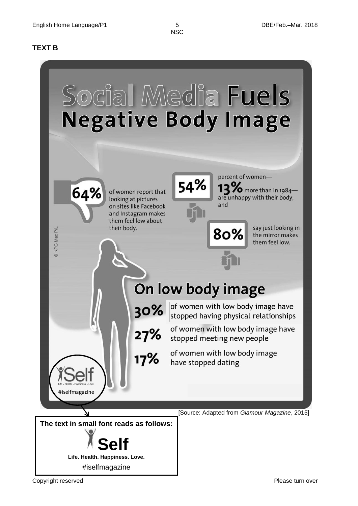#### **TEXT B**

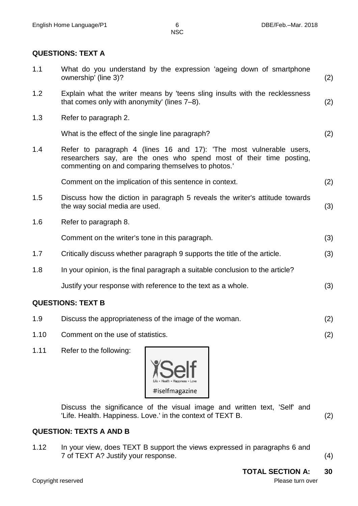#### **QUESTIONS: TEXT A**

| <b>QUESTIONS: TEXT B</b> |                                                                                                                                                                                                  |     |  |
|--------------------------|--------------------------------------------------------------------------------------------------------------------------------------------------------------------------------------------------|-----|--|
|                          | Justify your response with reference to the text as a whole.                                                                                                                                     | (3) |  |
| 1.8                      | In your opinion, is the final paragraph a suitable conclusion to the article?                                                                                                                    |     |  |
| 1.7                      | Critically discuss whether paragraph 9 supports the title of the article.                                                                                                                        | (3) |  |
|                          | Comment on the writer's tone in this paragraph.                                                                                                                                                  | (3) |  |
| 1.6                      | Refer to paragraph 8.                                                                                                                                                                            |     |  |
| 1.5                      | Discuss how the diction in paragraph 5 reveals the writer's attitude towards<br>the way social media are used.                                                                                   | (3) |  |
|                          | Comment on the implication of this sentence in context.                                                                                                                                          | (2) |  |
| 1.4                      | Refer to paragraph 4 (lines 16 and 17): 'The most vulnerable users,<br>researchers say, are the ones who spend most of their time posting,<br>commenting on and comparing themselves to photos.' |     |  |
|                          | What is the effect of the single line paragraph?                                                                                                                                                 | (2) |  |
| 1.3                      | Refer to paragraph 2.                                                                                                                                                                            |     |  |
| 1.2                      | Explain what the writer means by 'teens sling insults with the recklessness<br>that comes only with anonymity' (lines 7-8).                                                                      | (2) |  |
| 1.1                      | What do you understand by the expression 'ageing down of smartphone<br>ownership' (line 3)?                                                                                                      | (2) |  |

- 1.9 Discuss the appropriateness of the image of the woman. (2)
- 1.10 Comment on the use of statistics. (2)
- 1.11 Refer to the following:



Discuss the significance of the visual image and written text, 'Self' and 'Life. Health. Happiness. Love.' in the context of TEXT B. (2)

### **QUESTION: TEXTS A AND B**

1.12 In your view, does TEXT B support the views expressed in paragraphs 6 and 7 of TEXT A? Justify your response. (4)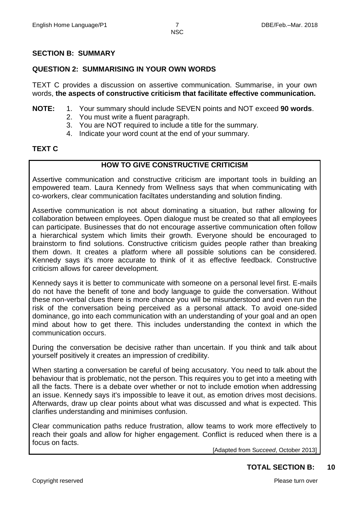#### **SECTION B: SUMMARY**

#### **QUESTION 2: SUMMARISING IN YOUR OWN WORDS**

TEXT C provides a discussion on assertive communication. Summarise, in your own words, **the aspects of constructive criticism that facilitate effective communication.**

#### **NOTE:** 1. Your summary should include SEVEN points and NOT exceed **90 words**.

- 2. You must write a fluent paragraph.
- 3. You are NOT required to include a title for the summary.
- 4. Indicate your word count at the end of your summary.

#### **TEXT C**

#### **HOW TO GIVE CONSTRUCTIVE CRITICISM**

Assertive communication and constructive criticism are important tools in building an empowered team. Laura Kennedy from Wellness says that when communicating with co-workers, clear communication faciltates understanding and solution finding.

Assertive communication is not about dominating a situation, but rather allowing for collaboration between employees. Open dialogue must be created so that all employees can participate. Businesses that do not encourage assertive communication often follow a hierarchical system which limits their growth. Everyone should be encouraged to brainstorm to find solutions. Constructive criticism guides people rather than breaking them down. It creates a platform where all possible solutions can be considered. Kennedy says it's more accurate to think of it as effective feedback. Constructive criticism allows for career development.

Kennedy says it is better to communicate with someone on a personal level first. E-mails do not have the benefit of tone and body language to guide the conversation. Without these non-verbal clues there is more chance you will be misunderstood and even run the risk of the conversation being perceived as a personal attack. To avoid one-sided dominance, go into each communication with an understanding of your goal and an open mind about how to get there. This includes understanding the context in which the communication occurs.

During the conversation be decisive rather than uncertain. If you think and talk about yourself positively it creates an impression of credibility.

When starting a conversation be careful of being accusatory. You need to talk about the behaviour that is problematic, not the person. This requires you to get into a meeting with all the facts. There is a debate over whether or not to include emotion when addressing an issue. Kennedy says it's impossible to leave it out, as emotion drives most decisions. Afterwards, draw up clear points about what was discussed and what is expected. This clarifies understanding and minimises confusion.

Clear communication paths reduce frustration, allow teams to work more effectively to reach their goals and allow for higher engagement. Conflict is reduced when there is a focus on facts.

[Adapted from S*ucceed*, October 2013]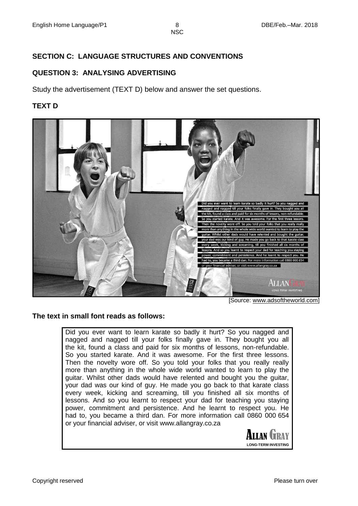#### **SECTION C: LANGUAGE STRUCTURES AND CONVENTIONS**

#### **QUESTION 3: ANALYSING ADVERTISING**

Study the advertisement (TEXT D) below and answer the set questions.

#### **TEXT D**



[Source: www.adsoftheworld.com]

#### **The text in small font reads as follows:**

Did you ever want to learn karate so badly it hurt? So you nagged and nagged and nagged till your folks finally gave in. They bought you all the kit, found a class and paid for six months of lessons, non-refundable. So you started karate. And it was awesome. For the first three lessons. Then the novelty wore off. So you told your folks that you really really more than anything in the whole wide world wanted to learn to play the guitar. Whilst other dads would have relented and bought you the guitar, your dad was our kind of guy. He made you go back to that karate class every week, kicking and screaming, till you finished all six months of lessons. And so you learnt to respect your dad for teaching you staying power, commitment and persistence. And he learnt to respect you. He had to, you became a third dan. For more information call 0860 000 654 or your financial adviser, or visit [www.allangray.co.za](http://www.allangray.co.za/)

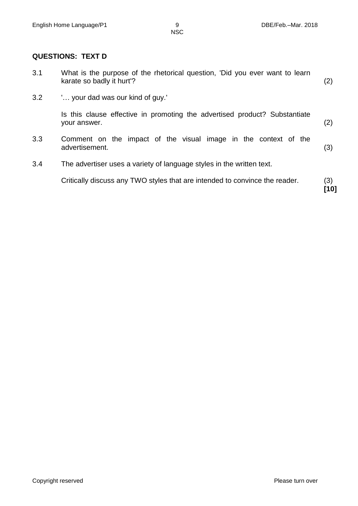#### **QUESTIONS: TEXT D**

|                  | Critically discuss any TWO styles that are intended to convince the reader.                              | (3)<br>[10] |
|------------------|----------------------------------------------------------------------------------------------------------|-------------|
| 3.4              | The advertiser uses a variety of language styles in the written text.                                    |             |
| 3.3              | Comment on the impact of the visual image in the context of the<br>advertisement.                        | (3)         |
|                  | Is this clause effective in promoting the advertised product? Substantiate<br>your answer.               | (2)         |
| 3.2 <sub>2</sub> | ' your dad was our kind of guy.'                                                                         |             |
| 3.1              | What is the purpose of the rhetorical question, 'Did you ever want to learn<br>karate so badly it hurt'? | (2)         |

Copyright reserved **Please turn over** Please turn over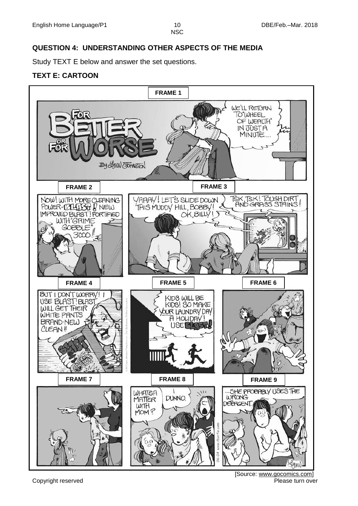#### **QUESTION 4: UNDERSTANDING OTHER ASPECTS OF THE MEDIA**

Study TEXT E below and answer the set questions.

#### **TEXT E: CARTOON**



Copyright reserved **Please turn over the Copyright reserved** Please turn over [Source: www.gocomics.com]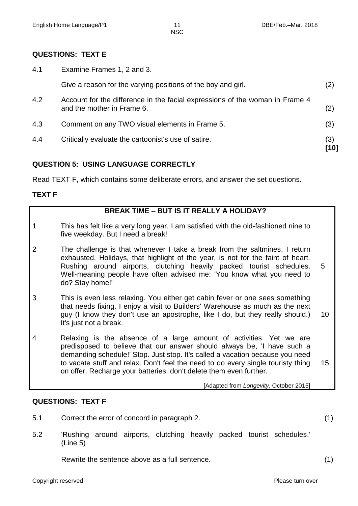#### **QUESTIONS: TEXT E**

4.1 Examine Frames 1, 2 and 3.

| 4.4 | Critically evaluate the cartoonist's use of satire.                                                        | (3) |
|-----|------------------------------------------------------------------------------------------------------------|-----|
| 4.3 | Comment on any TWO visual elements in Frame 5.                                                             | (3) |
| 4.2 | Account for the difference in the facial expressions of the woman in Frame 4<br>and the mother in Frame 6. | (2) |
|     | Give a reason for the varying positions of the boy and girl.                                               | (2) |

#### **QUESTION 5: USING LANGUAGE CORRECTLY**

Read TEXT F, which contains some deliberate errors, and answer the set questions.

#### **TEXT F**

1

2

3

| <b>BREAK TIME - BUT IS IT REALLY A HOLIDAY?</b>                                                                                                                                                                                                                                                                                   |   |
|-----------------------------------------------------------------------------------------------------------------------------------------------------------------------------------------------------------------------------------------------------------------------------------------------------------------------------------|---|
| This has felt like a very long year. I am satisfied with the old-fashioned nine to<br>five weekday. But I need a break!                                                                                                                                                                                                           |   |
| The challenge is that whenever I take a break from the saltmines, I return<br>exhausted. Holidays, that highlight of the year, is not for the faint of heart.<br>Rushing around airports, clutching heavily packed tourist schedules.<br>Well-meaning people have often advised me: 'You know what you need to<br>do? Stay home!' | 5 |
| This is even less relaxing. You either get cabin fever or one sees something<br>that needs fixing. I enjoy a visit to Builders' Warehouse as much as the next                                                                                                                                                                     |   |

guy (I know they don't use an apostrophe, like I do, but they really should.) It's just not a break. 10

4 Relaxing is the absence of a large amount of activities. Yet we are predisposed to believe that our answer should always be, 'I have such a demanding schedule!' Stop. Just stop. It's called a vacation because you need to vacate stuff and relax. Don't feel the need to do every single touristy thing on offer. Recharge your batteries, don't delete them even further. 15

[Adapted from *Longevity*, October 2015]

#### **QUESTIONS: TEXT F**

5.1 Correct the error of concord in paragraph 2. (1)

5.2 'Rushing around airports, clutching heavily packed tourist schedules.' (Line 5)

Rewrite the sentence above as a full sentence. (1)